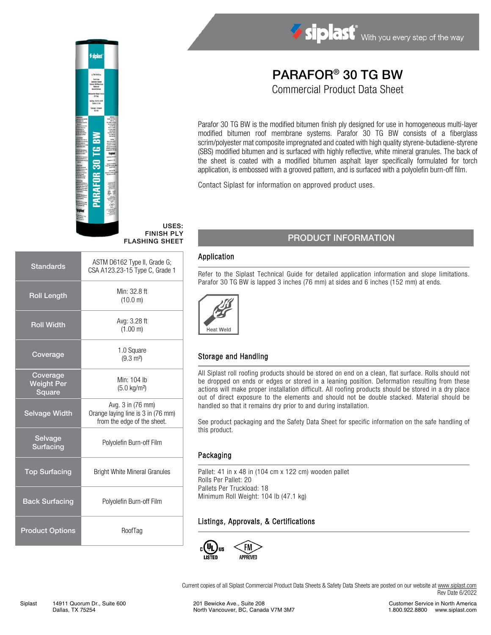

#### USES: FINISH PLY FLASHING SHEET

| <b>Standards</b>                        | ASTM D6162 Type II, Grade G;<br>CSA A123.23-15 Type C, Grade 1                         |
|-----------------------------------------|----------------------------------------------------------------------------------------|
| <b>Roll Length</b>                      | Min: 32.8 ft<br>(10.0 m)                                                               |
| <b>Roll Width</b>                       | Avg: 3.28 ft<br>(1.00 m)                                                               |
| Coverage                                | 1.0 Square<br>$(9.3 \text{ m}^2)$                                                      |
| Coverage<br><b>Weight Per</b><br>Square | Min: 104 lb<br>$(5.0 \text{ kg/m}^2)$                                                  |
| <b>Selvage Width</b>                    | Avg. 3 in (76 mm)<br>Orange laying line is 3 in (76 mm)<br>from the edge of the sheet. |
| Selvage<br><b>Surfacing</b>             | Polyolefin Burn-off Film                                                               |
| <b>Top Surfacing</b>                    | <b>Bright White Mineral Granules</b>                                                   |
| <b>Back Surfacing</b>                   | Polyolefin Burn-off Film                                                               |
| <b>Product Options</b>                  | RoofTag                                                                                |

# PARAFOR® 30 TG BW

Siplast With you every step of the way

Commercial Product Data Sheet

Parafor 30 TG BW is the modified bitumen finish ply designed for use in homogeneous multi-layer modified bitumen roof membrane systems. Parafor 30 TG BW consists of a fiberglass scrim/polyester mat composite impregnated and coated with high quality styrene-butadiene-styrene (SBS) modified bitumen and is surfaced with highly reflective, white mineral granules. The back of the sheet is coated with a modified bitumen asphalt layer specifically formulated for torch application, is embossed with a grooved pattern, and is surfaced with a polyolefin burn-off film.

Contact Siplast for information on approved product uses.

# PRODUCT INFORMATION

#### Application

Refer to the Siplast Technical Guide for detailed application information and slope limitations. Parafor 30 TG BW is lapped 3 inches (76 mm) at sides and 6 inches (152 mm) at ends.



### Storage and Handling

All Siplast roll roofing products should be stored on end on a clean, flat surface. Rolls should not be dropped on ends or edges or stored in a leaning position. Deformation resulting from these actions will make proper installation difficult. All roofing products should be stored in a dry place out of direct exposure to the elements and should not be double stacked. Material should be handled so that it remains dry prior to and during installation.

See product packaging and the Safety Data Sheet for specific information on the safe handling of this product.

#### Packaging

Pallet: 41 in x 48 in (104 cm x 122 cm) wooden pallet Rolls Per Pallet: 20 Pallets Per Truckload: 18 Minimum Roll Weight: 104 lb (47.1 kg)

#### Listings, Approvals, & Certifications



Current copies of all Siplast Commercial Product Data Sheets & Safety Data Sheets are posted on our website a[t www.siplast.com](http://www.siplast.com/) Rev Date 6/2022